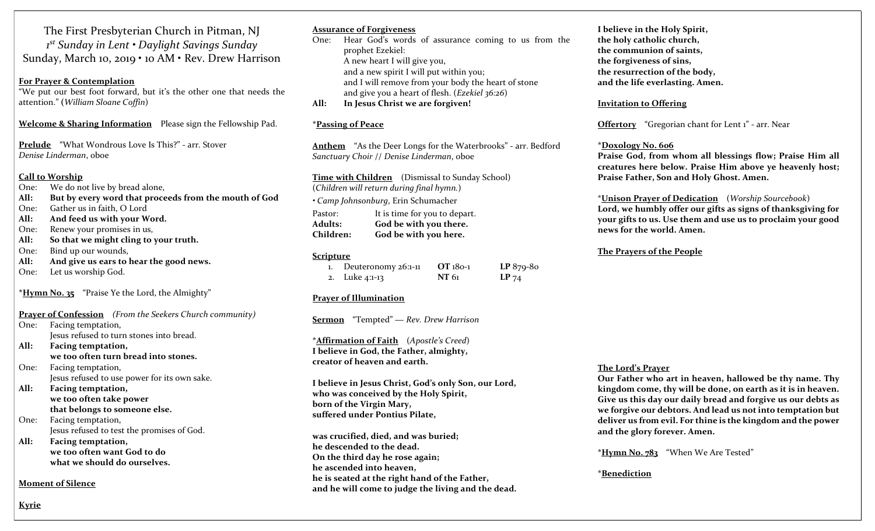The First Presbyterian Church in Pitman, NJ 1 st Sunday in Lent • Daylight Savings Sunday Sunday, March 10, 2019 • 10 AM • Rev. Drew Harrison

#### For Prayer & Contemplation

"We put our best foot forward, but it's the other one that needs the attention." (William Sloane Coffin)

Welcome & Sharing Information Please sign the Fellowship Pad.

Prelude "What Wondrous Love Is This?" - arr. Stover Denise Linderman, oboe

#### Call to Worship

- One: We do not live by bread alone,
- All: But by every word that proceeds from the mouth of God
- One: Gather us in faith, O Lord
- All: And feed us with your Word.
- One: Renew your promises in us,
- All: So that we might cling to your truth.
- One: Bind up our wounds,
- All: And give us ears to hear the good news.
- One: Let us worship God.

\*Hymn No. 35 "Praise Ye the Lord, the Almighty"

|      | <b>Prayer of Confession</b> (From the Seekers Church community) |
|------|-----------------------------------------------------------------|
| One: | Facing temptation,                                              |
|      | Jesus refused to turn stones into bread.                        |
| All: | Facing temptation,                                              |
|      | we too often turn bread into stones.                            |
| One: | Facing temptation,                                              |
|      | Jesus refused to use power for its own sake.                    |
| All: | Facing temptation,                                              |
|      | we too often take power                                         |
|      | that belongs to someone else.                                   |
| One: | Facing temptation,                                              |
|      | Jesus refused to test the promises of God.                      |
| All: | Facing temptation,                                              |
|      | we too often want God to do                                     |

what we should do ourselves.

Moment of Silence

#### Assurance of Forgiveness

One: Hear God's words of assurance coming to us from the prophet Ezekiel: A new heart I will give you, and a new spirit I will put within you; and I will remove from your body the heart of stone and give you a heart of flesh. (Ezekiel 36:26)

All: In Jesus Christ we are forgiven!

#### \*Passing of Peace

Anthem "As the Deer Longs for the Waterbrooks" - arr. Bedford Sanctuary Choir // Denise Linderman, oboe

Time with Children (Dismissal to Sunday School) (Children will return during final hymn.) • Camp Johnsonburg, Erin Schumacher Pastor: It is time for you to depart. Adults: God be with you there. Children: God be with you here.

#### Scripture

| $1.$ Deuteronomy $26:1-11$ | OT 180-1     | $LP 879-80$ |
|----------------------------|--------------|-------------|
| 2. Luke 4:1-13             | <b>NT</b> 61 | $LP$ 74     |

#### Prayer of Illumination

Sermon "Tempted" — Rev. Drew Harrison

\*Affirmation of Faith (Apostle's Creed) I believe in God, the Father, almighty, creator of heaven and earth.

I believe in Jesus Christ, God's only Son, our Lord, who was conceived by the Holy Spirit, born of the Virgin Mary, suffered under Pontius Pilate,

was crucified, died, and was buried; he descended to the dead. On the third day he rose again; he ascended into heaven, he is seated at the right hand of the Father, and he will come to judge the living and the dead. I believe in the Holy Spirit, the holy catholic church, the communion of saints, the forgiveness of sins, the resurrection of the body, and the life everlasting. Amen.

#### Invitation to Offering

Offertory "Gregorian chant for Lent 1" - arr. Near

#### \*Doxology No. 606

Praise God, from whom all blessings flow; Praise Him all creatures here below. Praise Him above ye heavenly host; Praise Father, Son and Holy Ghost. Amen.

#### \*Unison Prayer of Dedication (Worship Sourcebook)

Lord, we humbly offer our gifts as signs of thanksgiving for your gifts to us. Use them and use us to proclaim your good news for the world. Amen.

#### The Prayers of the People

### The Lord's Prayer

Our Father who art in heaven, hallowed be thy name. Thy kingdom come, thy will be done, on earth as it is in heaven. Give us this day our daily bread and forgive us our debts as we forgive our debtors. And lead us not into temptation but deliver us from evil. For thine is the kingdom and the power and the glory forever. Amen.

\*Hymn No. 783 "When We Are Tested"

#### \*Benediction